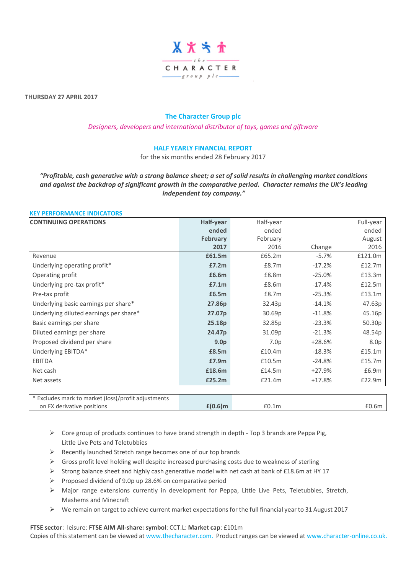

**THURSDAY 27 APRIL 2017**

# **The Character Group plc**

*Designers, developers and international distributor of toys, games and giftware*

# **HALF YEARLY FINANCIAL REPORT**

for the six months ended 28 February 2017

*"Profitable, cash generative with a strong balance sheet; a set of solid results in challenging market conditions and against the backdrop of significant growth in the comparative period. Character remains the UK's leading independent toy company."*

# **KEY PERFORMANCE INDICATORS**

| <b>CONTINUING OPERATIONS</b>                                                      | Half-year          | Half-year        |          | Full-year        |
|-----------------------------------------------------------------------------------|--------------------|------------------|----------|------------------|
|                                                                                   | ended              | ended            |          | ended            |
|                                                                                   | <b>February</b>    | February         |          | August           |
|                                                                                   | 2017               | 2016             | Change   | 2016             |
| Revenue                                                                           | £61.5m             | £65.2m           | $-5.7%$  | £121.0m          |
| Underlying operating profit*                                                      | £7.2m              | £8.7m            | $-17.2%$ | £12.7m           |
| Operating profit                                                                  | £6.6m              | £8.8m            | $-25.0%$ | £13.3m           |
| Underlying pre-tax profit*                                                        | £7.1m              | £8.6m            | $-17.4%$ | £12.5m           |
| Pre-tax profit                                                                    | £6.5m              | £8.7m            | $-25.3%$ | £13.1m           |
| Underlying basic earnings per share*                                              | 27.86p             | 32.43p           | $-14.1%$ | 47.63p           |
| Underlying diluted earnings per share*                                            | 27.07p             | 30.69p           | $-11.8%$ | 45.16p           |
| Basic earnings per share                                                          | 25.18p             | 32.85p           | $-23.3%$ | 50.30p           |
| Diluted earnings per share                                                        | 24.47 <sub>p</sub> | 31.09p           | $-21.3%$ | 48.54p           |
| Proposed dividend per share                                                       | 9.0 <sub>p</sub>   | 7.0 <sub>p</sub> | $+28.6%$ | 8.0 <sub>p</sub> |
| Underlying EBITDA*                                                                | £8.5m              | £10.4m           | $-18.3%$ | £15.1m           |
| <b>EBITDA</b>                                                                     | £7.9m              | £10.5m           | $-24.8%$ | £15.7m           |
| Net cash                                                                          | £18.6m             | £14.5m           | $+27.9%$ | £6.9m            |
| Net assets                                                                        | £25.2m             | £21.4m           | $+17.8%$ | £22.9m           |
|                                                                                   |                    |                  |          |                  |
| * Excludes mark to market (loss)/profit adjustments<br>on FX derivative positions | $£(0.6)$ m         | £0.1m            |          | £0.6m            |

 $\triangleright$  Core group of products continues to have brand strength in depth - Top 3 brands are Peppa Pig, Little Live Pets and Teletubbies

- ➢ Recently launched Stretch range becomes one of our top brands
- $\triangleright$  Gross profit level holding well despite increased purchasing costs due to weakness of sterling
- ➢ Strong balance sheet and highly cash generative model with net cash at bank of £18.6m at HY 17
- ➢ Proposed dividend of 9.0p up 28.6% on comparative period
- ➢ Major range extensions currently in development for Peppa, Little Live Pets, Teletubbies, Stretch, Mashems and Minecraft
- ➢ We remain on target to achieve current market expectations for the full financial year to 31 August 2017

**FTSE sector**: leisure: **FTSE AIM All-share: symbol**: CCT.L: **Market cap**: £101m Copies of this statement can be viewed a[t www.thecharacter.com.](http://www.thecharacter.com/) Product ranges can be viewed at [www.character-online.co.uk.](http://www.character-online.co.uk/)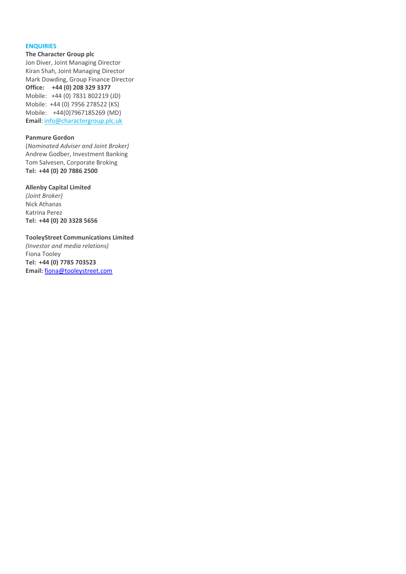### **ENQUIRIES**

**The Character Group plc**

Jon Diver, Joint Managing Director Kiran Shah, Joint Managing Director Mark Dowding, Group Finance Director **Office: +44 (0) 208 329 3377** Mobile: +44 (0) 7831 802219 (JD) Mobile: +44 (0) 7956 278522 (KS) Mobile: +44(0)7967185269 (MD) **Email**[: info@charactergroup.plc.uk](mailto:info@charactergroup.plc.uk)

## **Panmure Gordon**

(*Nominated Adviser and Joint Broker)* Andrew Godber, Investment Banking Tom Salvesen, Corporate Broking **Tel: +44 (0) 20 7886 2500**

#### **Allenby Capital Limited**

*(Joint Broker)* Nick Athanas Katrina Perez **Tel: +44 (0) 20 3328 5656**

### **TooleyStreet Communications Limited**

*(Investor and media relations)* Fiona Tooley **Tel: +44 (0) 7785 703523 Email:** [fiona@tooleystreet.com](mailto:fiona@tooleystreet.com)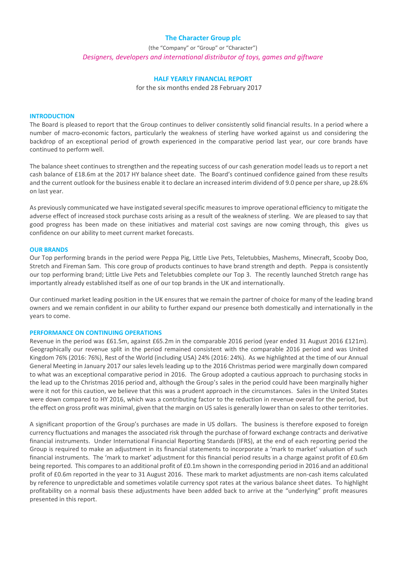## **The Character Group plc**

(the "Company" or "Group" or "Character") *Designers, developers and international distributor of toys, games and giftware*

# **HALF YEARLY FINANCIAL REPORT**

for the six months ended 28 February 2017

### **INTRODUCTION**

The Board is pleased to report that the Group continues to deliver consistently solid financial results. In a period where a number of macro-economic factors, particularly the weakness of sterling have worked against us and considering the backdrop of an exceptional period of growth experienced in the comparative period last year, our core brands have continued to perform well.

The balance sheet continues to strengthen and the repeating success of our cash generation model leads us to report a net cash balance of £18.6m at the 2017 HY balance sheet date. The Board's continued confidence gained from these results and the current outlook for the business enable it to declare an increased interim dividend of 9.0 pence per share, up 28.6% on last year.

As previously communicated we have instigated several specific measures to improve operational efficiency to mitigate the adverse effect of increased stock purchase costs arising as a result of the weakness of sterling. We are pleased to say that good progress has been made on these initiatives and material cost savings are now coming through, this gives us confidence on our ability to meet current market forecasts.

### **OUR BRANDS**

Our Top performing brands in the period were Peppa Pig, Little Live Pets, Teletubbies, Mashems, Minecraft, Scooby Doo, Stretch and Fireman Sam. This core group of products continues to have brand strength and depth. Peppa is consistently our top performing brand; Little Live Pets and Teletubbies complete our Top 3. The recently launched Stretch range has importantly already established itself as one of our top brands in the UK and internationally.

Our continued market leading position in the UK ensures that we remain the partner of choice for many of the leading brand owners and we remain confident in our ability to further expand our presence both domestically and internationally in the years to come.

### **PERFORMANCE ON CONTINUING OPERATIONS**

Revenue in the period was £61.5m, against £65.2m in the comparable 2016 period (year ended 31 August 2016 £121m). Geographically our revenue split in the period remained consistent with the comparable 2016 period and was United Kingdom 76% (2016: 76%), Rest of the World (including USA) 24% (2016: 24%). As we highlighted at the time of our Annual General Meeting in January 2017 our sales levels leading up to the 2016 Christmas period were marginally down compared to what was an exceptional comparative period in 2016. The Group adopted a cautious approach to purchasing stocks in the lead up to the Christmas 2016 period and, although the Group's sales in the period could have been marginally higher were it not for this caution, we believe that this was a prudent approach in the circumstances. Sales in the United States were down compared to HY 2016, which was a contributing factor to the reduction in revenue overall for the period, but the effect on gross profit was minimal, given that the margin on US sales is generally lower than on sales to other territories.

A significant proportion of the Group's purchases are made in US dollars. The business is therefore exposed to foreign currency fluctuations and manages the associated risk through the purchase of forward exchange contracts and derivative financial instruments. Under International Financial Reporting Standards (IFRS), at the end of each reporting period the Group is required to make an adjustment in its financial statements to incorporate a 'mark to market' valuation of such financial instruments. The 'mark to market' adjustment for this financial period results in a charge against profit of £0.6m being reported. This compares to an additional profit of £0.1m shown in the corresponding period in 2016 and an additional profit of £0.6m reported in the year to 31 August 2016. These mark to market adjustments are non-cash items calculated by reference to unpredictable and sometimes volatile currency spot rates at the various balance sheet dates. To highlight profitability on a normal basis these adjustments have been added back to arrive at the "underlying" profit measures presented in this report.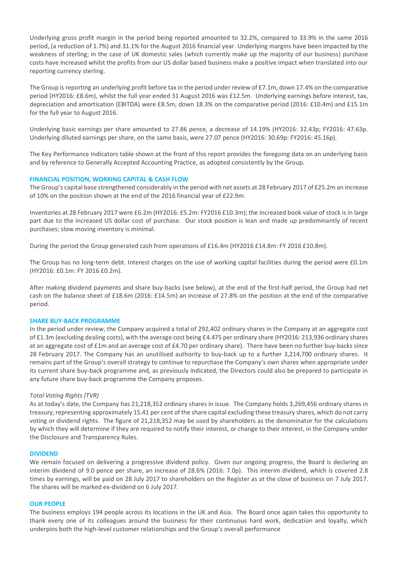Underlying gross profit margin in the period being reported amounted to 32.2%, compared to 33.9% in the same 2016 period, (a reduction of 1.7%) and 31.1% for the August 2016 financial year. Underlying margins have been impacted by the weakness of sterling; in the case of UK domestic sales (which currently make up the majority of our business) purchase costs have increased whilst the profits from our US dollar based business make a positive impact when translated into our reporting currency sterling.

The Group is reporting an underlying profit before tax in the period under review of £7.1m, down 17.4% on the comparative period (HY2016: £8.6m), whilst the full year ended 31 August 2016 was £12.5m. Underlying earnings before interest, tax, depreciation and amortisation (EBITDA) were £8.5m, down 18.3% on the comparative period (2016: £10.4m) and £15.1m for the full year to August 2016.

Underlying basic earnings per share amounted to 27.86 pence, a decrease of 14.19% (HY2016: 32.43p; FY2016: 47.63p. Underlying diluted earnings per share, on the same basis, were 27.07 pence (HY2016: 30.69p: FY2016: 45.16p).

The Key Performance Indicators table shown at the front of this report provides the foregoing data on an underlying basis and by reference to Generally Accepted Accounting Practice, as adopted consistently by the Group.

# **FINANCIAL POSITION, WORKING CAPITAL & CASH FLOW**

The Group's capital base strengthened considerably in the period with net assets at 28 February 2017 of £25.2m an increase of 10% on the position shown at the end of the 2016 financial year of £22.9m.

Inventories at 28 February 2017 were £6.2m (HY2016: £5.2m: FY2016 £10.3m); the increased book value of stock is in large part due to the increased US dollar cost of purchase. Our stock position is lean and made up predominantly of recent purchases; slow moving inventory is minimal.

During the period the Group generated cash from operations of £16.4m (HY2016 £14.8m: FY 2016 £10.8m).

The Group has no long-term debt. Interest charges on the use of working capital facilities during the period were £0.1m (HY2016: £0.1m: FY 2016 £0.2m).

After making dividend payments and share buy-backs (see below), at the end of the first-half period, the Group had net cash on the balance sheet of £18.6m (2016: £14.5m) an increase of 27.8% on the position at the end of the comparative period.

### **SHARE BUY-BACK PROGRAMME**

In the period under review, the Company acquired a total of 292,402 ordinary shares in the Company at an aggregate cost of £1.3m (excluding dealing costs), with the average cost being £4.475 per ordinary share (HY2016: 213,936 ordinary shares at an aggregate cost of £1m and an average cost of £4.70 per ordinary share). There have been no further buy-backs since 28 February 2017. The Company has an unutilised authority to buy-back up to a further 3,214,700 ordinary shares. It remains part of the Group's overall strategy to continue to repurchase the Company's own shares when appropriate under its current share buy-back programme and, as previously indicated, the Directors could also be prepared to participate in any future share buy-back programme the Company proposes.

# *Total Voting Rights (TVR)*

As at today's date, the Company has 21,218,352 ordinary shares in issue. The Company holds 3,269,456 ordinary shares in treasury, representing approximately 15.41 per cent of the share capital excluding these treasury shares, which do not carry voting or dividend rights. The figure of 21,218,352 may be used by shareholders as the denominator for the calculations by which they will determine if they are required to notify their interest, or change to their interest, in the Company under the Disclosure and Transparency Rules.

### **DIVIDEND**

We remain focused on delivering a progressive dividend policy. Given our ongoing progress, the Board is declaring an interim dividend of 9.0 pence per share, an increase of 28.6% (2016: 7.0p). This interim dividend, which is covered 2.8 times by earnings, will be paid on 28 July 2017 to shareholders on the Register as at the close of business on 7 July 2017. The shares will be marked ex-dividend on 6 July 2017.

### **OUR PEOPLE**

The business employs 194 people across its locations in the UK and Asia. The Board once again takes this opportunity to thank every one of its colleagues around the business for their continuous hard work, dedication and loyalty, which underpins both the high-level customer relationships and the Group's overall performance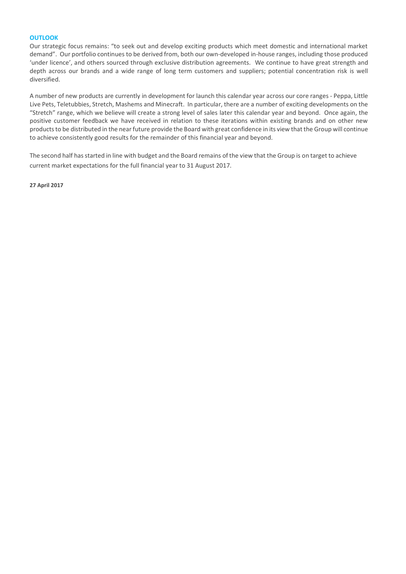## **OUTLOOK**

Our strategic focus remains: "to seek out and develop exciting products which meet domestic and international market demand". Our portfolio continues to be derived from, both our own-developed in-house ranges, including those produced 'under licence', and others sourced through exclusive distribution agreements. We continue to have great strength and depth across our brands and a wide range of long term customers and suppliers; potential concentration risk is well diversified.

A number of new products are currently in development for launch this calendar year across our core ranges - Peppa, Little Live Pets, Teletubbies, Stretch, Mashems and Minecraft. In particular, there are a number of exciting developments on the "Stretch" range, which we believe will create a strong level of sales later this calendar year and beyond. Once again, the positive customer feedback we have received in relation to these iterations within existing brands and on other new products to be distributed in the near future provide the Board with great confidence in its view that the Group will continue to achieve consistently good results for the remainder of this financial year and beyond.

The second half has started in line with budget and the Board remains of the view that the Group is on target to achieve current market expectations for the full financial year to 31 August 2017.

**27 April 2017**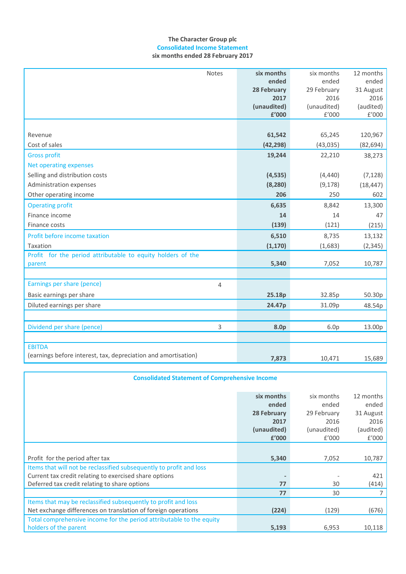# **The Character Group plc Consolidated Income Statement six months ended 28 February 2017**

| Notes                                                          | six months  | six months       | 12 months            |
|----------------------------------------------------------------|-------------|------------------|----------------------|
|                                                                | ended       | ended            | ended                |
|                                                                | 28 February | 29 February      | 31 August            |
|                                                                | 2017        | 2016             | 2016                 |
|                                                                | (unaudited) | (unaudited)      | (audited)            |
|                                                                | £'000       | E'000            | $\rm{f}^{\prime}000$ |
|                                                                |             |                  |                      |
| Revenue                                                        | 61,542      | 65,245           | 120,967              |
| Cost of sales                                                  | (42, 298)   | (43, 035)        | (82, 694)            |
| <b>Gross profit</b>                                            | 19,244      | 22,210           | 38,273               |
| Net operating expenses                                         |             |                  |                      |
| Selling and distribution costs                                 | (4, 535)    | (4, 440)         | (7, 128)             |
| Administration expenses                                        | (8, 280)    | (9, 178)         | (18, 447)            |
| Other operating income                                         | 206         | 250              | 602                  |
| <b>Operating profit</b>                                        | 6,635       | 8,842            | 13,300               |
| Finance income                                                 | 14          | 14               | 47                   |
| Finance costs                                                  | (139)       | (121)            | (215)                |
| Profit before income taxation                                  | 6,510       | 8,735            | 13,132               |
| Taxation                                                       | (1, 170)    | (1,683)          | (2, 345)             |
| Profit for the period attributable to equity holders of the    |             |                  |                      |
| parent                                                         | 5,340       | 7,052            | 10,787               |
|                                                                |             |                  |                      |
| Earnings per share (pence)<br>$\overline{4}$                   |             |                  |                      |
| Basic earnings per share                                       | 25.18p      | 32.85p           | 50.30p               |
| Diluted earnings per share                                     | 24.47p      | 31.09p           | 48.54p               |
|                                                                |             |                  |                      |
| Dividend per share (pence)<br>3                                | 8.0p        | 6.0 <sub>p</sub> | 13.00p               |
|                                                                |             |                  |                      |
| <b>EBITDA</b>                                                  |             |                  |                      |
| (earnings before interest, tax, depreciation and amortisation) | 7,873       | 10,471           | 15,689               |

| <b>Consolidated Statement of Comprehensive Income</b>                |             |             |           |  |  |
|----------------------------------------------------------------------|-------------|-------------|-----------|--|--|
|                                                                      | six months  | six months  | 12 months |  |  |
|                                                                      | ended       | ended       | ended     |  |  |
|                                                                      | 28 February | 29 February | 31 August |  |  |
|                                                                      | 2017        | 2016        | 2016      |  |  |
|                                                                      | (unaudited) | (unaudited) | (audited) |  |  |
|                                                                      | £'000       | f'000       | f'000     |  |  |
|                                                                      |             |             |           |  |  |
| Profit for the period after tax                                      | 5,340       | 7,052       | 10,787    |  |  |
| Items that will not be reclassified subsequently to profit and loss  |             |             |           |  |  |
| Current tax credit relating to exercised share options               |             |             | 421       |  |  |
| Deferred tax credit relating to share options                        | 77          | 30          | (414)     |  |  |
|                                                                      | 77          | 30          | 7         |  |  |
| Items that may be reclassified subsequently to profit and loss       |             |             |           |  |  |
| Net exchange differences on translation of foreign operations        | (224)       | (129)       | (676)     |  |  |
| Total comprehensive income for the period attributable to the equity |             |             |           |  |  |
| holders of the parent                                                | 5,193       | 6,953       | 10,118    |  |  |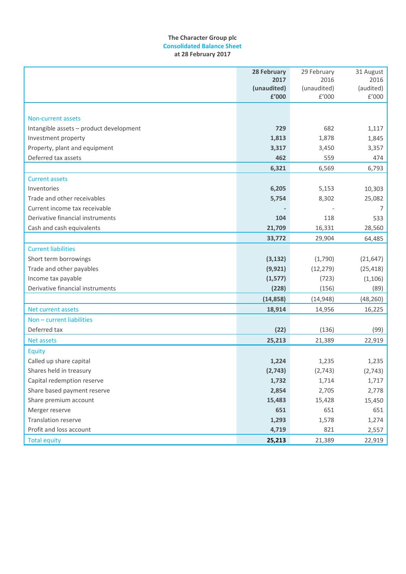# **The Character Group plc Consolidated Balance Sheet at 28 February 2017**

|                                         | 28 February | 29 February | 31 August            |
|-----------------------------------------|-------------|-------------|----------------------|
|                                         | 2017        | 2016        | 2016                 |
|                                         | (unaudited) | (unaudited) | (audited)            |
|                                         | £'000       | E'000       | $\rm{f}^{\prime}000$ |
|                                         |             |             |                      |
| <b>Non-current assets</b>               |             |             |                      |
| Intangible assets - product development | 729         | 682         | 1,117                |
| Investment property                     | 1,813       | 1,878       | 1,845                |
| Property, plant and equipment           | 3,317       | 3,450       | 3,357                |
| Deferred tax assets                     | 462         | 559         | 474                  |
|                                         | 6,321       | 6,569       | 6,793                |
| <b>Current assets</b>                   |             |             |                      |
| Inventories                             | 6,205       | 5,153       | 10,303               |
| Trade and other receivables             | 5,754       | 8,302       | 25,082               |
| Current income tax receivable           |             |             | 7                    |
| Derivative financial instruments        | 104         | 118         | 533                  |
| Cash and cash equivalents               | 21,709      | 16,331      | 28,560               |
|                                         | 33,772      | 29,904      | 64,485               |
| <b>Current liabilities</b>              |             |             |                      |
| Short term borrowings                   | (3, 132)    | (1,790)     | (21, 647)            |
| Trade and other payables                | (9, 921)    | (12, 279)   | (25, 418)            |
| Income tax payable                      | (1,577)     | (723)       | (1, 106)             |
| Derivative financial instruments        | (228)       | (156)       | (89)                 |
|                                         | (14, 858)   | (14, 948)   | (48, 260)            |
| <b>Net current assets</b>               | 18,914      | 14,956      | 16,225               |
| Non - current liabilities               |             |             |                      |
| Deferred tax                            | (22)        | (136)       | (99)                 |
| <b>Net assets</b>                       | 25,213      | 21,389      | 22,919               |
| Equity                                  |             |             |                      |
| Called up share capital                 | 1,224       | 1,235       | 1,235                |
| Shares held in treasury                 | (2,743)     | (2,743)     | (2,743)              |
| Capital redemption reserve              | 1,732       | 1,714       | 1,717                |
| Share based payment reserve             | 2,854       | 2,705       | 2,778                |
| Share premium account                   | 15,483      | 15,428      | 15,450               |
| Merger reserve                          | 651         | 651         | 651                  |
| Translation reserve                     | 1,293       | 1,578       | 1,274                |
| Profit and loss account                 | 4,719       | 821         | 2,557                |
| <b>Total equity</b>                     | 25,213      | 21,389      | 22,919               |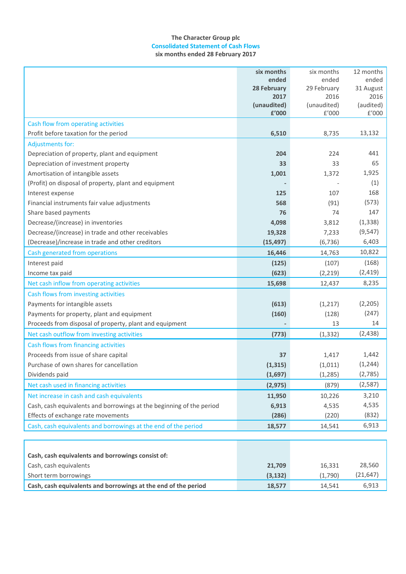# **The Character Group plc Consolidated Statement of Cash Flows six months ended 28 February 2017**

|                                                                      | six months         | six months  | 12 months |
|----------------------------------------------------------------------|--------------------|-------------|-----------|
|                                                                      | ended              | ended       | ended     |
|                                                                      | <b>28 February</b> | 29 February | 31 August |
|                                                                      | 2017               | 2016        | 2016      |
|                                                                      | (unaudited)        | (unaudited) | (audited) |
|                                                                      | £'000              | £'000       | £'000     |
| Cash flow from operating activities                                  |                    |             |           |
| Profit before taxation for the period                                | 6,510              | 8,735       | 13,132    |
| <b>Adjustments for:</b>                                              |                    |             |           |
| Depreciation of property, plant and equipment                        | 204                | 224         | 441       |
| Depreciation of investment property                                  | 33                 | 33          | 65        |
| Amortisation of intangible assets                                    | 1,001              | 1,372       | 1,925     |
| (Profit) on disposal of property, plant and equipment                |                    |             | (1)       |
| Interest expense                                                     | 125                | 107         | 168       |
| Financial instruments fair value adjustments                         | 568                | (91)        | (573)     |
| Share based payments                                                 | 76                 | 74          | 147       |
| Decrease/(increase) in inventories                                   | 4,098              | 3,812       | (1, 338)  |
| Decrease/(increase) in trade and other receivables                   | 19,328             | 7,233       | (9, 547)  |
| (Decrease)/increase in trade and other creditors                     | (15, 497)          | (6, 736)    | 6,403     |
| Cash generated from operations                                       | 16,446             | 14,763      | 10,822    |
| Interest paid                                                        | (125)              | (107)       | (168)     |
| Income tax paid                                                      | (623)              | (2, 219)    | (2, 419)  |
| Net cash inflow from operating activities                            | 15,698             | 12,437      | 8,235     |
| Cash flows from investing activities                                 |                    |             |           |
| Payments for intangible assets                                       | (613)              | (1, 217)    | (2,205)   |
| Payments for property, plant and equipment                           | (160)              | (128)       | (247)     |
| Proceeds from disposal of property, plant and equipment              |                    | 13          | 14        |
| Net cash outflow from investing activities                           | (773)              | (1, 332)    | (2, 438)  |
| Cash flows from financing activities                                 |                    |             |           |
| Proceeds from issue of share capital                                 | 37                 | 1,417       | 1,442     |
| Purchase of own shares for cancellation                              | (1, 315)           | (1,011)     | (1, 244)  |
| Dividends paid                                                       | (1,697)            | (1, 285)    | (2,785)   |
| Net cash used in financing activities                                | (2, 975)           | (879)       | (2,587)   |
| Net increase in cash and cash equivalents                            | 11,950             | 10,226      | 3,210     |
| Cash, cash equivalents and borrowings at the beginning of the period | 6,913              | 4,535       | 4,535     |
| Effects of exchange rate movements                                   | (286)              | (220)       | (832)     |
| Cash, cash equivalents and borrowings at the end of the period       | 18,577             | 14,541      | 6,913     |
|                                                                      |                    |             |           |
| Cash, cash equivalents and borrowings consist of:                    |                    |             |           |
|                                                                      |                    |             |           |
| Cash, cash equivalents                                               | 21,709             | 16,331      | 28,560    |
| Short term borrowings                                                | (3, 132)           | (1,790)     | (21, 647) |
| Cash, cash equivalents and borrowings at the end of the period       | 18,577             | 14,541      | 6,913     |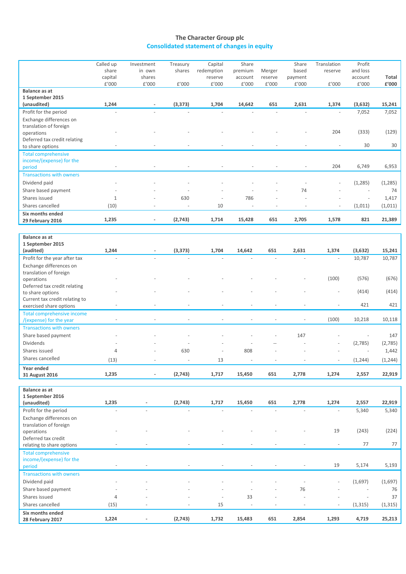# **The Character Group plc Consolidated statement of changes in equity**

|                                                   | Called up | Investment                   | Treasury                 | Capital    | Share                    |                          | Share                    | Translation          | Profit                   |                |
|---------------------------------------------------|-----------|------------------------------|--------------------------|------------|--------------------------|--------------------------|--------------------------|----------------------|--------------------------|----------------|
|                                                   | share     | in own                       | shares                   | redemption | premium                  | Merger                   | based                    | reserve              | and loss                 |                |
|                                                   | capital   | shares                       |                          | reserve    | account                  | reserve                  | payment                  |                      | account                  | Total          |
|                                                   | £'000     | £'000                        | £'000                    | £'000      | £'000                    | $\rm{f}^{\prime}000$     | $\rm{f}^{\prime}000$     | $\rm{f}^{\prime}000$ | £'000                    | $\pounds'$ 000 |
| Balance as at                                     |           |                              |                          |            |                          |                          |                          |                      |                          |                |
| 1 September 2015                                  |           |                              |                          |            |                          |                          |                          |                      |                          |                |
| (unaudited)                                       | 1,244     | $\overline{\phantom{a}}$     | (3, 373)                 | 1,704      | 14,642                   | 651                      | 2,631                    | 1,374                | (3, 632)                 | 15,241         |
| Profit for the period                             |           |                              |                          |            |                          |                          |                          |                      | 7,052                    | 7,052          |
| Exchange differences on<br>translation of foreign |           |                              |                          |            |                          |                          |                          |                      |                          |                |
| operations                                        |           |                              |                          |            |                          |                          |                          | 204                  | (333)                    | (129)          |
| Deferred tax credit relating                      |           |                              |                          |            |                          |                          |                          |                      |                          |                |
| to share options                                  |           |                              |                          |            |                          |                          |                          |                      | 30                       | 30             |
| <b>Total comprehensive</b>                        |           |                              |                          |            |                          |                          |                          |                      |                          |                |
| income/(expense) for the                          |           |                              |                          |            |                          |                          |                          |                      |                          |                |
| period                                            |           |                              |                          |            |                          |                          | $\overline{a}$           | 204                  | 6,749                    | 6,953          |
| <b>Transactions with owners</b>                   |           |                              |                          |            |                          |                          |                          |                      |                          |                |
| Dividend paid                                     |           |                              |                          |            |                          |                          |                          |                      | (1, 285)                 | (1, 285)       |
| Share based payment                               |           |                              |                          |            |                          |                          | 74                       |                      |                          | 74             |
| Shares issued                                     | $1\,$     |                              | 630                      |            | 786                      |                          |                          |                      | $\sim$                   | 1,417          |
| Shares cancelled                                  | (10)      |                              | L,                       | 10         | $\sim$                   | $\overline{\phantom{a}}$ | $\overline{a}$           |                      | (1,011)                  | (1,011)        |
| Six months ended                                  |           |                              |                          |            |                          |                          |                          |                      |                          |                |
| 29 February 2016                                  | 1,235     | $\qquad \qquad \blacksquare$ | (2,743)                  | 1,714      | 15,428                   | 651                      | 2,705                    | 1,578                | 821                      | 21,389         |
|                                                   |           |                              |                          |            |                          |                          |                          |                      |                          |                |
| Balance as at                                     |           |                              |                          |            |                          |                          |                          |                      |                          |                |
| 1 September 2015                                  |           |                              |                          |            |                          |                          |                          |                      |                          |                |
| (audited)                                         | 1,244     |                              | (3, 373)                 | 1,704      | 14,642                   | 651                      | 2,631                    | 1,374                | (3,632)                  | 15,241         |
| Profit for the year after tax                     |           |                              |                          |            |                          |                          | ÷.                       |                      | 10,787                   | 10,787         |
| Exchange differences on                           |           |                              |                          |            |                          |                          |                          |                      |                          |                |
| translation of foreign                            |           |                              |                          |            |                          |                          |                          |                      |                          |                |
| operations                                        |           |                              |                          |            |                          |                          |                          | (100)                | (576)                    | (676)          |
| Deferred tax credit relating                      |           |                              |                          |            |                          |                          |                          |                      |                          |                |
| to share options                                  |           |                              |                          |            |                          |                          |                          |                      | (414)                    | (414)          |
| Current tax credit relating to                    |           |                              |                          |            |                          |                          |                          |                      |                          |                |
| exercised share options                           |           |                              |                          |            |                          |                          |                          |                      | 421                      | 421            |
| <b>Total comprehensive income</b>                 |           |                              |                          |            |                          |                          |                          |                      |                          |                |
| /(expense) for the year                           |           |                              |                          |            |                          |                          |                          | (100)                | 10,218                   | 10,118         |
| <b>Transactions with owners</b>                   |           |                              |                          |            |                          |                          |                          |                      |                          |                |
| Share based payment                               |           |                              |                          |            |                          |                          | 147                      |                      | $\overline{\phantom{a}}$ | 147            |
| Dividends                                         |           |                              |                          |            |                          |                          |                          |                      | (2,785)                  | (2,785)        |
| Shares issued                                     | 4         |                              | 630                      |            | 808                      |                          |                          |                      | ÷,                       | 1,442          |
| Shares cancelled                                  | (13)      |                              |                          | 13         | $\overline{\phantom{a}}$ |                          |                          |                      | (1, 244)                 | (1, 244)       |
| Year ended                                        |           |                              |                          |            |                          |                          |                          |                      |                          |                |
| 31 August 2016                                    | 1,235     |                              | (2,743)                  | 1,717      | 15,450                   | 651                      | 2,778                    | 1,274                | 2,557                    | 22,919         |
|                                                   |           |                              |                          |            |                          |                          |                          |                      |                          |                |
| Balance as at                                     |           |                              |                          |            |                          |                          |                          |                      |                          |                |
| 1 September 2016                                  |           |                              |                          |            |                          |                          |                          |                      |                          |                |
| (unaudited)                                       | 1,235     |                              | (2,743)                  | 1,717      | 15,450                   | 651                      | 2,778                    | 1,274                | 2,557                    | 22,919         |
| Profit for the period                             |           |                              |                          |            |                          |                          |                          |                      | 5,340                    | 5,340          |
| Exchange differences on                           |           |                              |                          |            |                          |                          |                          |                      |                          |                |
| translation of foreign                            |           |                              |                          |            |                          |                          |                          |                      |                          |                |
| operations                                        |           |                              |                          |            |                          |                          |                          | 19                   | (243)                    | (224)          |
| Deferred tax credit                               |           |                              |                          |            |                          |                          |                          |                      |                          |                |
| relating to share options                         |           |                              |                          |            |                          |                          |                          |                      | 77                       | 77             |
| <b>Total comprehensive</b>                        |           |                              |                          |            |                          |                          |                          |                      |                          |                |
| income/(expense) for the<br>period                |           |                              | $\overline{\phantom{a}}$ |            | $\overline{\phantom{m}}$ | $\blacksquare$           | $\overline{\phantom{a}}$ | 19                   | 5,174                    | 5,193          |
|                                                   |           |                              |                          |            |                          |                          |                          |                      |                          |                |
| <b>Transactions with owners</b>                   |           |                              |                          |            |                          |                          |                          |                      |                          |                |
| Dividend paid                                     |           |                              |                          |            |                          |                          |                          |                      | (1,697)                  | (1,697)        |
| Share based payment                               |           |                              |                          |            |                          |                          | 76                       |                      |                          | 76             |
| Shares issued                                     | 4         |                              |                          |            | 33                       |                          |                          |                      | $\sim$                   | 37             |
| Shares cancelled                                  | (15)      |                              |                          | 15         |                          | ÷,                       | $\sim$                   |                      | (1, 315)                 | (1, 315)       |
| Six months ended                                  |           |                              |                          |            |                          |                          |                          |                      |                          |                |
| 28 February 2017                                  | 1,224     |                              | (2,743)                  | 1,732      | 15,483                   | 651                      | 2,854                    | 1,293                | 4,719                    | 25,213         |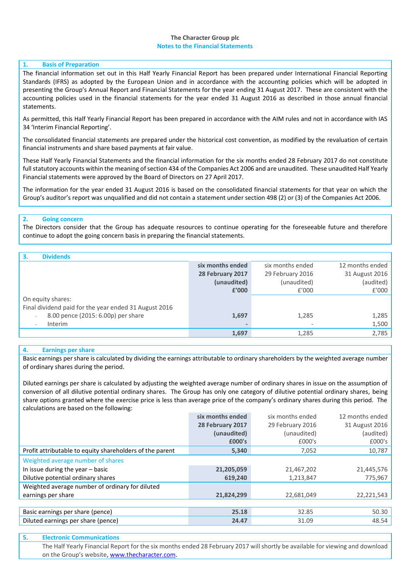## **The Character Group plc Notes to the Financial Statements**

### **1. Basis of Preparation**

The financial information set out in this Half Yearly Financial Report has been prepared under International Financial Reporting Standards (IFRS) as adopted by the European Union and in accordance with the accounting policies which will be adopted in presenting the Group's Annual Report and Financial Statements for the year ending 31 August 2017. These are consistent with the accounting policies used in the financial statements for the year ended 31 August 2016 as described in those annual financial statements.

As permitted, this Half Yearly Financial Report has been prepared in accordance with the AIM rules and not in accordance with IAS 34 'Interim Financial Reporting'.

The consolidated financial statements are prepared under the historical cost convention, as modified by the revaluation of certain financial instruments and share based payments at fair value.

These Half Yearly Financial Statements and the financial information for the six months ended 28 February 2017 do not constitute full statutory accounts within the meaning of section 434 of the Companies Act 2006 and are unaudited. These unaudited Half Yearly Financial statements were approved by the Board of Directors on 27 April 2017.

The information for the year ended 31 August 2016 is based on the consolidated financial statements for that year on which the Group's auditor's report was unqualified and did not contain a statement under section 498 (2) or (3) of the Companies Act 2006.

# **2. Going concern**

The Directors consider that the Group has adequate resources to continue operating for the foreseeable future and therefore continue to adopt the going concern basis in preparing the financial statements.

| <b>Dividends</b>                                      |                  |                  |                 |
|-------------------------------------------------------|------------------|------------------|-----------------|
|                                                       | six months ended | six months ended | 12 months ended |
|                                                       | 28 February 2017 | 29 February 2016 | 31 August 2016  |
|                                                       | (unaudited)      | (unaudited)      | (audited)       |
|                                                       | £'000            | f'000            | £'000           |
| On equity shares:                                     |                  |                  |                 |
| Final dividend paid for the year ended 31 August 2016 |                  |                  |                 |
| 8.00 pence (2015: 6.00p) per share<br>$\sim$          | 1,697            | 1,285            | 1,285           |
| Interim<br>$\overline{\phantom{a}}$                   |                  |                  | 1,500           |
|                                                       | 1,697            | 1,285            | 2,785           |
|                                                       |                  |                  |                 |

### **4. Earnings per share**

Basic earnings per share is calculated by dividing the earnings attributable to ordinary shareholders by the weighted average number of ordinary shares during the period.

Diluted earnings per share is calculated by adjusting the weighted average number of ordinary shares in issue on the assumption of conversion of all dilutive potential ordinary shares. The Group has only one category of dilutive potential ordinary shares, being share options granted where the exercise price is less than average price of the company's ordinary shares during this period. The calculations are based on the following:

|                                                          | six months ended | six months ended | 12 months ended |
|----------------------------------------------------------|------------------|------------------|-----------------|
|                                                          | 28 February 2017 | 29 February 2016 | 31 August 2016  |
|                                                          | (unaudited)      | (unaudited)      | (audited)       |
|                                                          | £000's           | £000's           | £000's          |
| Profit attributable to equity shareholders of the parent | 5,340            | 7,052            | 10,787          |
| Weighted average number of shares                        |                  |                  |                 |
| In issue during the year $-$ basic                       | 21,205,059       | 21,467,202       | 21,445,576      |
| Dilutive potential ordinary shares                       | 619,240          | 1,213,847        | 775,967         |
| Weighted average number of ordinary for diluted          |                  |                  |                 |
| earnings per share                                       | 21,824,299       | 22,681,049       | 22,221,543      |
|                                                          |                  |                  |                 |
| Basic earnings per share (pence)                         | 25.18            | 32.85            | 50.30           |
| Diluted earnings per share (pence)                       | 24.47            | 31.09            | 48.54           |
|                                                          |                  |                  |                 |

#### **5. Electronic Communications**

The Half Yearly Financial Report for the six months ended 28 February 2017 will shortly be available for viewing and download on the Group's website[, www.thecharacter.com.](http://www.thecharacter.com/)